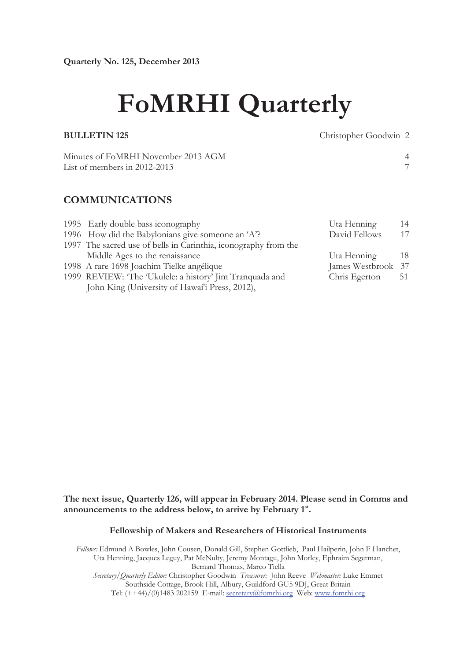# **FoMRHI Quarterly**

**BULLETIN 125** Christopher Goodwin 2

Minutes of FoMRHI November 2013 AGM 4<br>
List of members in 2012-2013 List of members in  $2012-2013$ 

# **COMMUNICATIONS**

| 1995 Early double bass iconography                              | Uta Henning        | 14  |
|-----------------------------------------------------------------|--------------------|-----|
| 1996 How did the Babylonians give someone an 'A'?               | David Fellows      | 17  |
| 1997 The sacred use of bells in Carinthia, iconography from the |                    |     |
| Middle Ages to the renaissance                                  | Uta Henning        | -18 |
| 1998 A rare 1698 Joachim Tielke angélique                       | James Westbrook 37 |     |
| 1999 REVIEW: 'The 'Ukulele: a history' Jim Tranquada and        | Chris Egerton      | 51  |
| John King (University of Hawai'i Press, 2012),                  |                    |     |

# **The next issue, Quarterly 126, will appear in February 2014. Please send in Comms and announcements to the address below, to arrive by February 1st .**

#### **Fellowship of Makers and Researchers of Historical Instruments**

*Fellows:* Edmund A Bowles, John Cousen, Donald Gill, Stephen Gottlieb, Paul Hailperin, John F Hanchet, Uta Henning, Jacques Leguy, Pat McNulty, Jeremy Montagu, John Morley, Ephraim Segerman, Bernard Thomas, Marco Tiella *Secretary/Quarterly Editor:* Christopher Goodwin *Treasurer:* John Reeve *Webmaster:* Luke Emmet Southside Cottage, Brook Hill, Albury, Guildford GU5 9DJ, Great Britain Tel: (++44)/(0)1483 202159 E-mail: secretary@fomrhi.org Web: www.fomrhi.org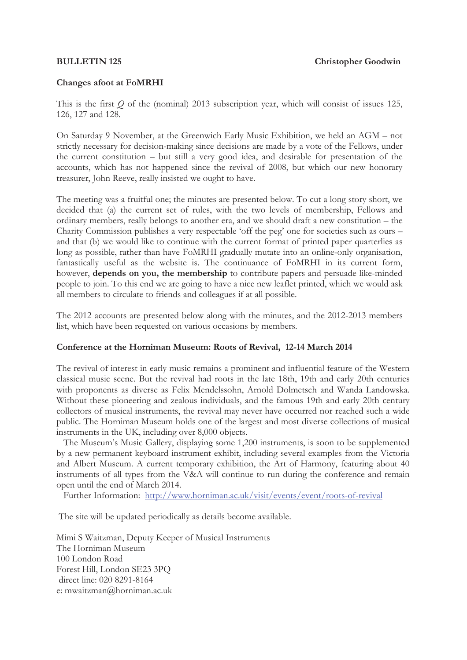# **Changes afoot at FoMRHI**

This is the first *Q* of the (nominal) 2013 subscription year, which will consist of issues 125, 126, 127 and 128.

On Saturday 9 November, at the Greenwich Early Music Exhibition, we held an AGM – not strictly necessary for decision-making since decisions are made by a vote of the Fellows, under the current constitution – but still a very good idea, and desirable for presentation of the accounts, which has not happened since the revival of 2008, but which our new honorary treasurer, John Reeve, really insisted we ought to have.

The meeting was a fruitful one; the minutes are presented below. To cut a long story short, we decided that (a) the current set of rules, with the two levels of membership, Fellows and ordinary members, really belongs to another era, and we should draft a new constitution – the Charity Commission publishes a very respectable 'off the peg' one for societies such as ours – and that (b) we would like to continue with the current format of printed paper quarterlies as long as possible, rather than have FoMRHI gradually mutate into an online-only organisation, fantastically useful as the website is. The continuance of FoMRHI in its current form, however, **depends on you, the membership** to contribute papers and persuade like-minded people to join. To this end we are going to have a nice new leaflet printed, which we would ask all members to circulate to friends and colleagues if at all possible.

The 2012 accounts are presented below along with the minutes, and the 2012-2013 members list, which have been requested on various occasions by members.

#### **Conference at the Horniman Museum: Roots of Revival, 12-14 March 2014**

The revival of interest in early music remains a prominent and influential feature of the Western classical music scene. But the revival had roots in the late 18th, 19th and early 20th centuries with proponents as diverse as Felix Mendelssohn, Arnold Dolmetsch and Wanda Landowska. Without these pioneering and zealous individuals, and the famous 19th and early 20th century collectors of musical instruments, the revival may never have occurred nor reached such a wide public. The Horniman Museum holds one of the largest and most diverse collections of musical instruments in the UK, including over 8,000 objects.

 The Museum's Music Gallery, displaying some 1,200 instruments, is soon to be supplemented by a new permanent keyboard instrument exhibit, including several examples from the Victoria and Albert Museum. A current temporary exhibition, the Art of Harmony, featuring about 40 instruments of all types from the V&A will continue to run during the conference and remain open until the end of March 2014.

Further Information: http://www.horniman.ac.uk/visit/events/event/roots-of-revival

The site will be updated periodically as details become available.

Mimi S Waitzman, Deputy Keeper of Musical Instruments The Horniman Museum 100 London Road Forest Hill, London SE23 3PQ direct line: 020 8291-8164 e: mwaitzman@horniman.ac.uk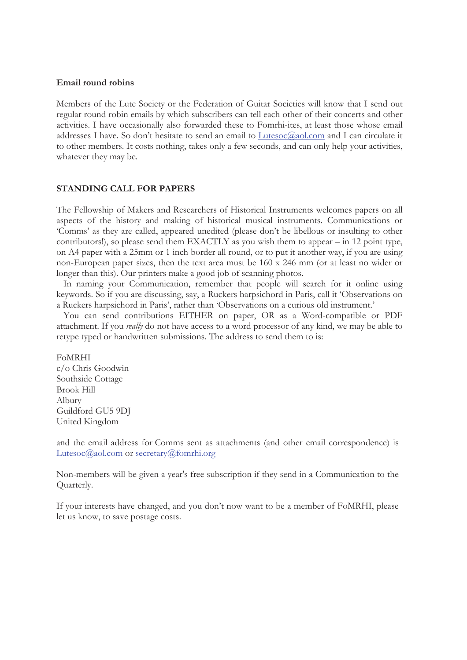#### **Email round robins**

Members of the Lute Society or the Federation of Guitar Societies will know that I send out regular round robin emails by which subscribers can tell each other of their concerts and other activities. I have occasionally also forwarded these to Fomrhi-ites, at least those whose email addresses I have. So don't hesitate to send an email to Lutesoc@aol.com and I can circulate it to other members. It costs nothing, takes only a few seconds, and can only help your activities, whatever they may be.

#### **STANDING CALL FOR PAPERS**

The Fellowship of Makers and Researchers of Historical Instruments welcomes papers on all aspects of the history and making of historical musical instruments. Communications or 'Comms' as they are called, appeared unedited (please don't be libellous or insulting to other contributors!), so please send them EXACTLY as you wish them to appear – in 12 point type, on A4 paper with a 25mm or 1 inch border all round, or to put it another way, if you are using non-European paper sizes, then the text area must be 160 x 246 mm (or at least no wider or longer than this). Our printers make a good job of scanning photos.

 In naming your Communication, remember that people will search for it online using keywords. So if you are discussing, say, a Ruckers harpsichord in Paris, call it 'Observations on a Ruckers harpsichord in Paris', rather than 'Observations on a curious old instrument.'

 You can send contributions EITHER on paper, OR as a Word-compatible or PDF attachment. If you *really* do not have access to a word processor of any kind, we may be able to retype typed or handwritten submissions. The address to send them to is:

# FoMRHI

c/o Chris Goodwin Southside Cottage Brook Hill Albury Guildford GU5 9DJ United Kingdom

and the email address for Comms sent as attachments (and other email correspondence) is Lutesoc@aol.com or secretary@fomrhi.org

Non-members will be given a year's free subscription if they send in a Communication to the Quarterly.

If your interests have changed, and you don't now want to be a member of FoMRHI, please let us know, to save postage costs.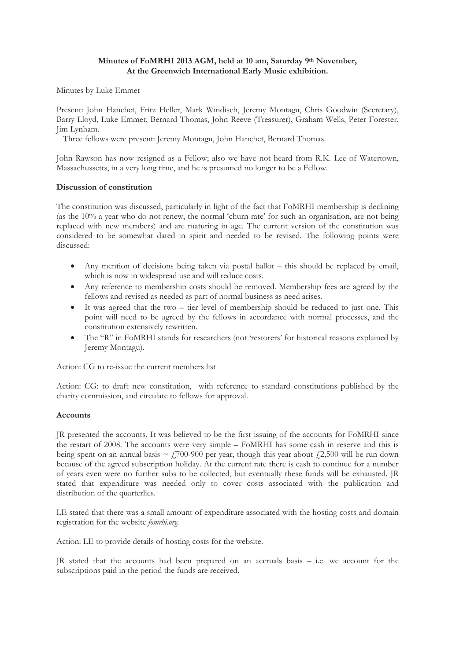#### **Minutes of FoMRHI 2013 AGM, held at 10 am, Saturday 9th November, At the Greenwich International Early Music exhibition.**

Minutes by Luke Emmet

Present: John Hanchet, Fritz Heller, Mark Windisch, Jeremy Montagu, Chris Goodwin (Secretary), Barry Lloyd, Luke Emmet, Bernard Thomas, John Reeve (Treasurer), Graham Wells, Peter Forester, Jim Lynham.

Three fellows were present: Jeremy Montagu, John Hanchet, Bernard Thomas.

John Rawson has now resigned as a Fellow; also we have not heard from R.K. Lee of Watertown, Massachussetts, in a very long time, and he is presumed no longer to be a Fellow.

#### **Discussion of constitution**

The constitution was discussed, particularly in light of the fact that FoMRHI membership is declining (as the 10% a year who do not renew, the normal 'churn rate' for such an organisation, are not being replaced with new members) and are maturing in age. The current version of the constitution was considered to be somewhat dated in spirit and needed to be revised. The following points were discussed:

- Any mention of decisions being taken via postal ballot  $-$  this should be replaced by email, which is now in widespread use and will reduce costs.
- Any reference to membership costs should be removed. Membership fees are agreed by the fellows and revised as needed as part of normal business as need arises.
- $\bullet$  It was agreed that the two tier level of membership should be reduced to just one. This point will need to be agreed by the fellows in accordance with normal processes, and the constitution extensively rewritten.
- The "R" in FoMRHI stands for researchers (not 'restorers' for historical reasons explained by Jeremy Montagu).

Action: CG to re-issue the current members list

Action: CG: to draft new constitution, with reference to standard constitutions published by the charity commission, and circulate to fellows for approval.

#### **Accounts**

JR presented the accounts. It was believed to be the first issuing of the accounts for FoMRHI since the restart of 2008. The accounts were very simple – FoMRHI has some cash in reserve and this is being spent on an annual basis ~  $\angle$  700-900 per year, though this year about  $\angle$ 2,500 will be run down because of the agreed subscription holiday. At the current rate there is cash to continue for a number of years even were no further subs to be collected, but eventually these funds will be exhausted. JR stated that expenditure was needed only to cover costs associated with the publication and distribution of the quarterlies.

LE stated that there was a small amount of expenditure associated with the hosting costs and domain registration for the website *fomrhi.org.* 

Action: LE to provide details of hosting costs for the website.

JR stated that the accounts had been prepared on an accruals basis – i.e. we account for the subscriptions paid in the period the funds are received.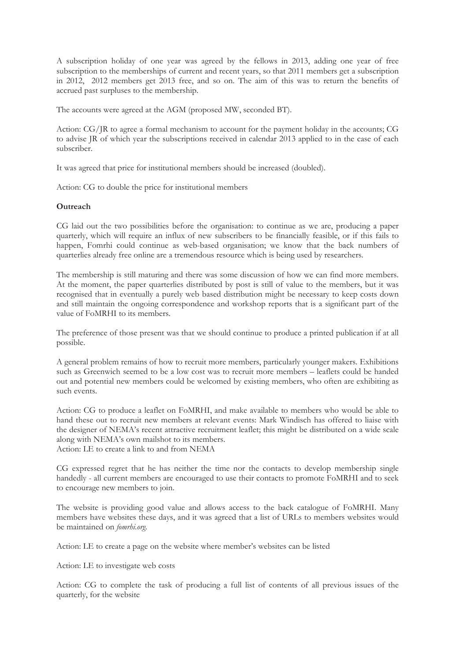A subscription holiday of one year was agreed by the fellows in 2013, adding one year of free subscription to the memberships of current and recent years, so that 2011 members get a subscription in 2012, 2012 members get 2013 free, and so on. The aim of this was to return the benefits of accrued past surpluses to the membership.

The accounts were agreed at the AGM (proposed MW, seconded BT).

Action: CG/JR to agree a formal mechanism to account for the payment holiday in the accounts; CG to advise JR of which year the subscriptions received in calendar 2013 applied to in the case of each subscriber.

It was agreed that price for institutional members should be increased (doubled).

Action: CG to double the price for institutional members

#### **Outreach**

CG laid out the two possibilities before the organisation: to continue as we are, producing a paper quarterly, which will require an influx of new subscribers to be financially feasible, or if this fails to happen, Fomrhi could continue as web-based organisation; we know that the back numbers of quarterlies already free online are a tremendous resource which is being used by researchers.

The membership is still maturing and there was some discussion of how we can find more members. At the moment, the paper quarterlies distributed by post is still of value to the members, but it was recognised that in eventually a purely web based distribution might be necessary to keep costs down and still maintain the ongoing correspondence and workshop reports that is a significant part of the value of FoMRHI to its members.

The preference of those present was that we should continue to produce a printed publication if at all possible.

A general problem remains of how to recruit more members, particularly younger makers. Exhibitions such as Greenwich seemed to be a low cost was to recruit more members – leaflets could be handed out and potential new members could be welcomed by existing members, who often are exhibiting as such events.

Action: CG to produce a leaflet on FoMRHI, and make available to members who would be able to hand these out to recruit new members at relevant events: Mark Windisch has offered to liaise with the designer of NEMA's recent attractive recruitment leaflet; this might be distributed on a wide scale along with NEMA's own mailshot to its members. Action: LE to create a link to and from NEMA

CG expressed regret that he has neither the time nor the contacts to develop membership single handedly - all current members are encouraged to use their contacts to promote FoMRHI and to seek to encourage new members to join.

The website is providing good value and allows access to the back catalogue of FoMRHI. Many members have websites these days, and it was agreed that a list of URLs to members websites would be maintained on *fomrhi.org.* 

Action: LE to create a page on the website where member's websites can be listed

Action: LE to investigate web costs

Action: CG to complete the task of producing a full list of contents of all previous issues of the quarterly, for the website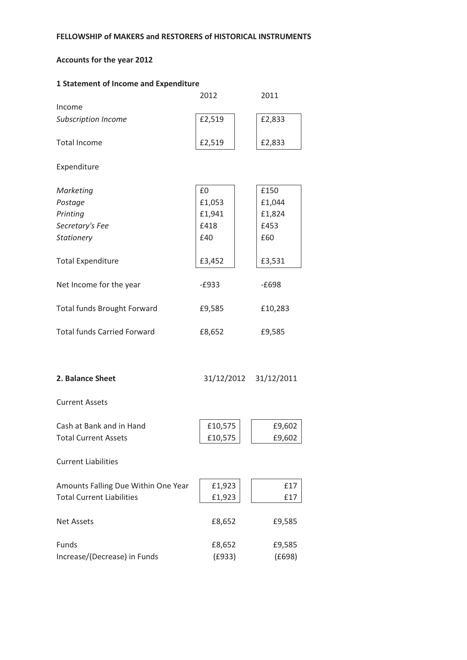# Accounts for the year 2012

| <b>1 Statement of Income and Expenditure</b> |         |                       |  |  |  |
|----------------------------------------------|---------|-----------------------|--|--|--|
|                                              | 2012    | 2011                  |  |  |  |
| Income                                       |         |                       |  |  |  |
| <b>Subscription Income</b>                   | £2,519  | £2,833                |  |  |  |
| <b>Total Income</b>                          | £2,519  | £2,833                |  |  |  |
| Expenditure                                  |         |                       |  |  |  |
| Marketing                                    | £0      | £150                  |  |  |  |
| Postage                                      | £1,053  | £1,044                |  |  |  |
| Printing                                     | £1,941  | £1,824                |  |  |  |
| Secretary's Fee                              | £418    | £453                  |  |  |  |
| Stationery                                   | £40     | £60                   |  |  |  |
| <b>Total Expenditure</b>                     | £3,452  | £3,531                |  |  |  |
| Net Income for the year                      | $-E933$ | $-E698$               |  |  |  |
| Total funds Brought Forward                  | £9,585  | £10,283               |  |  |  |
| <b>Total funds Carried Forward</b>           | £8,652  | £9,585                |  |  |  |
| 2. Balance Sheet                             |         | 31/12/2012 31/12/2011 |  |  |  |
| <b>Current Assets</b>                        |         |                       |  |  |  |
| Cash at Bank and in Hand                     | £10,575 | £9,602                |  |  |  |
| <b>Total Current Assets</b>                  | £10,575 | £9,602                |  |  |  |
| <b>Current Liabilities</b>                   |         |                       |  |  |  |
| Amounts Falling Due Within One Year          | £1,923  | £17                   |  |  |  |
| <b>Total Current Liabilities</b>             | £1,923  | £17                   |  |  |  |
| <b>Net Assets</b>                            | £8,652  | £9,585                |  |  |  |
| Funds                                        | £8,652  | £9,585                |  |  |  |
| Increase/(Decrease) in Funds                 | (E933)  | (E698)                |  |  |  |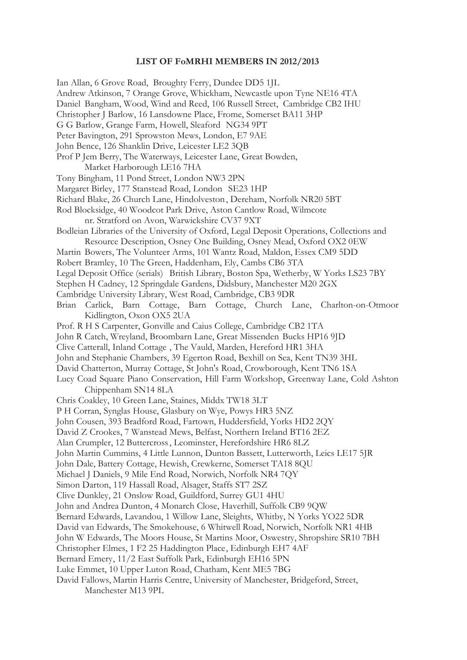#### **LIST OF FoMRHI MEMBERS IN 2012/2013**

Ian Allan, 6 Grove Road, Broughty Ferry, Dundee DD5 1JL Andrew Atkinson, 7 Orange Grove, Whickham, Newcastle upon Tyne NE16 4TA Daniel Bangham, Wood, Wind and Reed, 106 Russell Street, Cambridge CB2 IHU Christopher J Barlow, 16 Lansdowne Place, Frome, Somerset BA11 3HP G G Barlow, Grange Farm, Howell, Sleaford NG34 9PT Peter Bavington, 291 Sprowston Mews, London, E7 9AE John Bence, 126 Shanklin Drive, Leicester LE2 3QB Prof P Jem Berry, The Waterways, Leicester Lane, Great Bowden, Market Harborough LE16 7HA Tony Bingham, 11 Pond Street, London NW3 2PN Margaret Birley, 177 Stanstead Road, London SE23 1HP Richard Blake, 26 Church Lane, Hindolveston , Dereham, Norfolk NR20 5BT Rod Blocksidge, 40 Woodcot Park Drive, Aston Cantlow Road, Wilmcote nr. Stratford on Avon, Warwickshire CV37 9XT Bodleian Libraries of the University of Oxford, Legal Deposit Operations, Collections and Resource Description, Osney One Building, Osney Mead, Oxford OX2 0EW Martin Bowers, The Volunteer Arms, 101 Wantz Road, Maldon, Essex CM9 5DD Robert Bramley, 10 The Green, Haddenham, Ely, Cambs CB6 3TA Legal Deposit Office (serials) British Library, Boston Spa, Wetherby, W Yorks LS23 7BY Stephen H Cadney, 12 Springdale Gardens, Didsbury, Manchester M20 2GX Cambridge University Library, West Road, Cambridge, CB3 9DR Brian Carlick, Barn Cottage, Barn Cottage, Church Lane, Charlton-on-Otmoor Kidlington, Oxon OX5 2UA Prof. R H S Carpenter, Gonville and Caius College, Cambridge CB2 1TA John R Catch, Wreyland, Broombarn Lane, Great Missenden Bucks HP16 9JD Clive Catterall, Inland Cottage , The Vauld, Marden, Hereford HR1 3HA John and Stephanie Chambers, 39 Egerton Road, Bexhill on Sea, Kent TN39 3HL David Chatterton, Murray Cottage, St John's Road, Crowborough, Kent TN6 1SA Lucy Coad Square Piano Conservation, Hill Farm Workshop, Greenway Lane, Cold Ashton Chippenham SN14 8LA Chris Coakley, 10 Green Lane, Staines, Middx TW18 3LT P H Corran, Synglas House, Glasbury on Wye, Powys HR3 5NZ John Cousen, 393 Bradford Road, Fartown, Huddersfield, Yorks HD2 2QY David Z Crookes, 7 Wanstead Mews, Belfast, Northern Ireland BT16 2EZ Alan Crumpler, 12 Buttercross , Leominster, Herefordshire HR6 8LZ John Martin Cummins, 4 Little Lunnon, Dunton Bassett, Lutterworth, Leics LE17 5JR John Dale, Battery Cottage, Hewish, Crewkerne, Somerset TA18 8QU Michael J Daniels, 9 Mile End Road, Norwich, Norfolk NR4 7QY Simon Darton, 119 Hassall Road, Alsager, Staffs ST7 2SZ Clive Dunkley, 21 Onslow Road, Guildford, Surrey GU1 4HU John and Andrea Dunton, 4 Monarch Close, Haverhill, Suffolk CB9 9QW Bernard Edwards, Lavandou, 1 Willow Lane, Sleights, Whitby, N Yorks YO22 5DR David van Edwards, The Smokehouse, 6 Whitwell Road, Norwich, Norfolk NR1 4HB John W Edwards, The Moors House, St Martins Moor, Oswestry, Shropshire SR10 7BH Christopher Elmes, 1 F2 25 Haddington Place , Edinburgh EH7 4AF Bernard Emery, 11/2 East Suffolk Park, Edinburgh EH16 5PN Luke Emmet, 10 Upper Luton Road, Chatham, Kent ME5 7BG David Fallows, Martin Harris Centre, University of Manchester, Bridgeford, Street, Manchester M13 9PL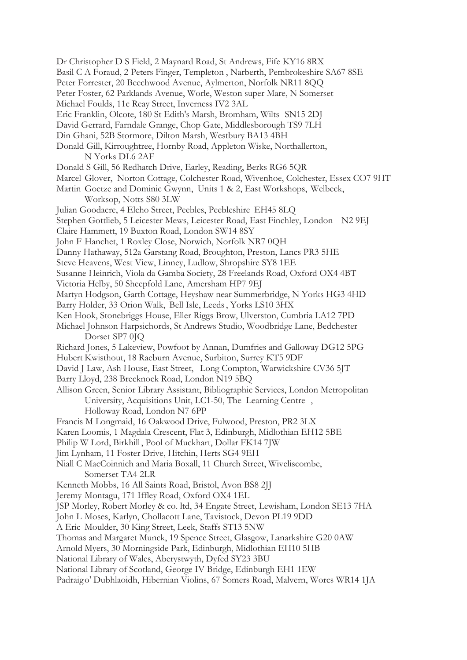Dr Christopher D S Field, 2 Maynard Road, St Andrews, Fife KY16 8RX Basil C A Foraud, 2 Peters Finger, Templeton , Narberth, Pembrokeshire SA67 8SE Peter Forrester, 20 Beechwood Avenue, Aylmerton, Norfolk NR11 8QQ Peter Foster, 62 Parklands Avenue, Worle, Weston super Mare, N Somerset Michael Foulds, 11c Reay Street, Inverness IV2 3AL Eric Franklin, Olcote, 180 St Edith's Marsh, Bromham, Wilts SN15 2DJ David Gerrard, Farndale Grange, Chop Gate, Middlesborough TS9 7LH Din Ghani, 52B Stormore, Dilton Marsh, Westbury BA13 4BH Donald Gill, Kirroughtree, Hornby Road, Appleton Wiske, Northallerton, N Yorks DL6 2AF Donald S Gill, 56 Redhatch Drive, Earley, Reading, Berks RG6 5QR Marcel Glover, Norton Cottage, Colchester Road, Wivenhoe, Colchester, Essex CO7 9HT Martin Goetze and Dominic Gwynn, Units 1 & 2, East Workshops, Welbeck, Worksop, Notts S80 3LW Julian Goodacre, 4 Elcho Street, Peebles, Peebleshire EH45 8LQ Stephen Gottlieb, 5 Leicester Mews, Leicester Road, East Finchley, London N2 9EJ Claire Hammett, 19 Buxton Road, London SW14 8SY John F Hanchet, 1 Roxley Close, Norwich, Norfolk NR7 0QH Danny Hathaway, 512a Garstang Road, Broughton, Preston, Lancs PR3 5HE Steve Heavens, West View, Linney, Ludlow, Shropshire SY8 1EE Susanne Heinrich, Viola da Gamba Society, 28 Freelands Road, Oxford OX4 4BT Victoria Helby, 50 Sheepfold Lane, Amersham HP7 9EJ Martyn Hodgson, Garth Cottage, Heyshaw near Summerbridge, N Yorks HG3 4HD Barry Holder, 33 Orion Walk, Bell Isle, Leeds , Yorks LS10 3HX Ken Hook, Stonebriggs House, Eller Riggs Brow, Ulverston, Cumbria LA12 7PD Michael Johnson Harpsichords, St Andrews Studio, Woodbridge Lane, Bedchester Dorset SP7 0JQ Richard Jones, 5 Lakeview, Powfoot by Annan, Dumfries and Galloway DG12 5PG Hubert Kwisthout, 18 Raeburn Avenue, Surbiton, Surrey KT5 9DF David J Law, Ash House, East Street, Long Compton, Warwickshire CV36 5JT Barry Lloyd, 238 Brecknock Road, London N19 5BQ Allison Green, Senior Library Assistant, Bibliographic Services, London Metropolitan University, Acquisitions Unit, LC1-50, The Learning Centre , Holloway Road, London N7 6PP Francis M Longmaid, 16 Oakwood Drive, Fulwood, Preston, PR2 3LX Karen Loomis, 1 Magdala Crescent, Flat 3, Edinburgh, Midlothian EH12 5BE Philip W Lord, Birkhill , Pool of Muckhart, Dollar FK14 7JW Jim Lynham, 11 Foster Drive, Hitchin, Herts SG4 9EH Niall C MacCoinnich and Maria Boxall, 11 Church Street, Wiveliscombe, Somerset TA4 2LR Kenneth Mobbs, 16 All Saints Road, Bristol, Avon BS8 2JJ Jeremy Montagu, 171 Iffley Road, Oxford OX4 1EL JSP Morley, Robert Morley & co. ltd, 34 Engate Street, Lewisham, London SE13 7HA John L Moses, Karlyn, Chollacott Lane, Tavistock, Devon PL19 9DD A Eric Moulder, 30 King Street, Leek, Staffs ST13 5NW Thomas and Margaret Munck, 19 Spence Street, Glasgow, Lanarkshire G20 0AW Arnold Myers, 30 Morningside Park, Edinburgh, Midlothian EH10 5HB National Library of Wales, Aberystwyth, Dyfed SY23 3BU National Library of Scotland, George IV Bridge, Edinburgh EH1 1EW Padraig o' Dubhlaoidh, Hibernian Violins, 67 Somers Road, Malvern, Worcs WR14 1JA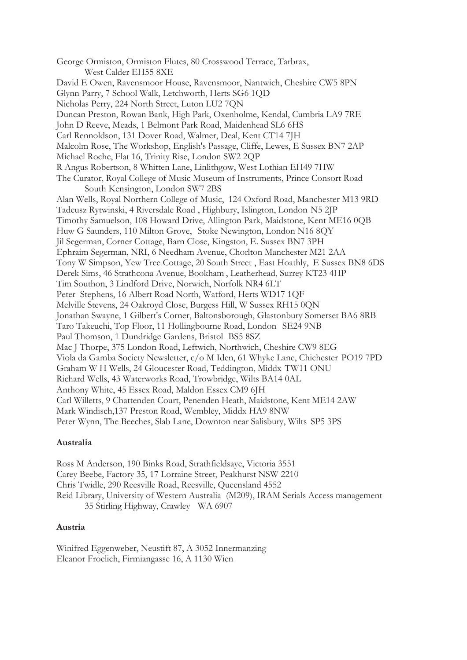George Ormiston, Ormiston Flutes, 80 Crosswood Terrace, Tarbrax, West Calder EH55 8XE David E Owen, Ravensmoor House, Ravensmoor, Nantwich, Cheshire CW5 8PN Glynn Parry, 7 School Walk, Letchworth, Herts SG6 1QD Nicholas Perry, 224 North Street, Luton LU2 7QN Duncan Preston, Rowan Bank, High Park, Oxenholme, Kendal, Cumbria LA9 7RE John D Reeve, Meads, 1 Belmont Park Road, Maidenhead SL6 6HS Carl Rennoldson, 131 Dover Road, Walmer, Deal, Kent CT14 7JH Malcolm Rose, The Workshop, English's Passage, Cliffe, Lewes, E Sussex BN7 2AP Michael Roche, Flat 16, Trinity Rise, London SW2 2QP R Angus Robertson, 8 Whitten Lane, Linlithgow, West Lothian EH49 7HW The Curator, Royal College of Music Museum of Instruments, Prince Consort Road South Kensington, London SW7 2BS Alan Wells, Royal Northern College of Music, 124 Oxford Road, Manchester M13 9RD Tadeusz Rytwinski, 4 Riversdale Road , Highbury, Islington, London N5 2JP Timothy Samuelson, 108 Howard Drive, Allington Park, Maidstone, Kent ME16 0QB Huw G Saunders, 110 Milton Grove, Stoke Newington, London N16 8QY Jil Segerman, Corner Cottage, Barn Close, Kingston, E. Sussex BN7 3PH Ephraim Segerman, NRI, 6 Needham Avenue, Chorlton Manchester M21 2AA Tony W Simpson, Yew Tree Cottage, 20 South Street , East Hoathly, E Sussex BN8 6DS Derek Sims, 46 Strathcona Avenue, Bookham , Leatherhead, Surrey KT23 4HP Tim Southon, 3 Lindford Drive, Norwich, Norfolk NR4 6LT Peter Stephens, 16 Albert Road North, Watford, Herts WD17 1QF Melville Stevens, 24 Oakroyd Close, Burgess Hill, W Sussex RH15 0QN Jonathan Swayne, 1 Gilbert's Corner, Baltonsborough, Glastonbury Somerset BA6 8RB Taro Takeuchi, Top Floor, 11 Hollingbourne Road, London SE24 9NB Paul Thomson, 1 Dundridge Gardens, Bristol BS5 8SZ Mac J Thorpe, 375 London Road, Leftwich, Northwich, Cheshire CW9 8EG Viola da Gamba Society Newsletter, c/o M Iden, 61 Whyke Lane, Chichester PO19 7PD Graham W H Wells, 24 Gloucester Road, Teddington, Middx TW11 ONU Richard Wells, 43 Waterworks Road, Trowbridge, Wilts BA14 0AL Anthony White, 45 Essex Road, Maldon Essex CM9 6JH Carl Willetts, 9 Chattenden Court, Penenden Heath, Maidstone, Kent ME14 2AW Mark Windisch,137 Preston Road, Wembley, Middx HA9 8NW Peter Wynn, The Beeches, Slab Lane, Downton near Salisbury, Wilts SP5 3PS

# **Australia**

Ross M Anderson, 190 Binks Road, Strathfieldsaye, Victoria 3551 Carey Beebe, Factory 35, 17 Lorraine Street, Peakhurst NSW 2210 Chris Twidle, 290 Reesville Road, Reesville, Queensland 4552 Reid Library, University of Western Australia (M209), IRAM Serials Access management 35 Stirling Highway, Crawley WA 6907

#### **Austria**

Winifred Eggenweber, Neustift 87, A 3052 Innermanzing Eleanor Froelich, Firmiangasse 16, A 1130 Wien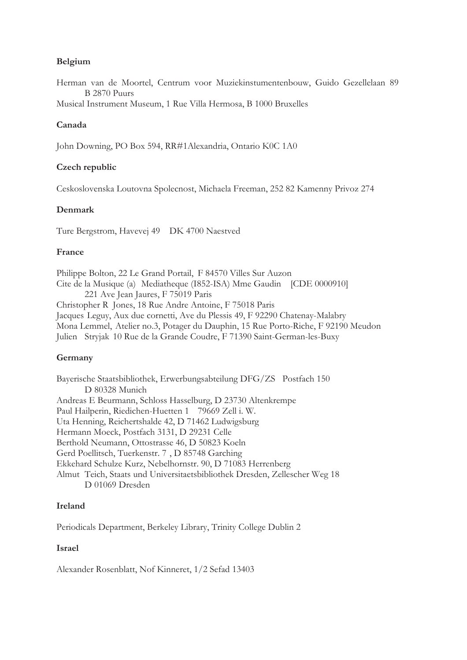# **Belgium**

Herman van de Moortel, Centrum voor Muziekinstumentenbouw, Guido Gezellelaan 89 B 2870 Puurs

Musical Instrument Museum, 1 Rue Villa Hermosa, B 1000 Bruxelles

# **Canada**

John Downing, PO Box 594, RR#1Alexandria, Ontario K0C 1A0

# **Czech republic**

Ceskoslovenska Loutovna Spolecnost, Michaela Freeman, 252 82 Kamenny Privoz 274

# **Denmark**

Ture Bergstrom, Havevej 49 DK 4700 Naestved

# **France**

Philippe Bolton, 22 Le Grand Portail, F 84570 Villes Sur Auzon Cite de la Musique (a) Mediatheque (I852-ISA) Mme Gaudin [CDE 0000910] 221 Ave Jean Jaures, F 75019 Paris Christopher R Jones, 18 Rue Andre Antoine, F 75018 Paris Jacques Leguy, Aux due cornetti, Ave du Plessis 49, F 92290 Chatenay-Malabry Mona Lemmel, Atelier no.3, Potager du Dauphin, 15 Rue Porto-Riche, F 92190 Meudon Julien Stryjak 10 Rue de la Grande Coudre, F 71390 Saint-German-les-Buxy

# **Germany**

Bayerische Staatsbibliothek, Erwerbungsabteilung DFG/ZS Postfach 150 D 80328 Munich Andreas E Beurmann, Schloss Hasselburg, D 23730 Altenkrempe Paul Hailperin, Riedichen-Huetten 1 79669 Zell i. W. Uta Henning, Reichertshalde 42, D 71462 Ludwigsburg Hermann Moeck, Postfach 3131, D 29231 Celle Berthold Neumann, Ottostrasse 46, D 50823 Koeln Gerd Poellitsch, Tuerkenstr. 7 , D 85748 Garching Ekkehard Schulze Kurz, Nebelhornstr. 90, D 71083 Herrenberg Almut Teich, Staats und Universitaetsbibliothek Dresden, Zellescher Weg 18 D 01069 Dresden

# **Ireland**

Periodicals Department, Berkeley Library, Trinity College Dublin 2

# **Israel**

Alexander Rosenblatt, Nof Kinneret, 1/2 Sefad 13403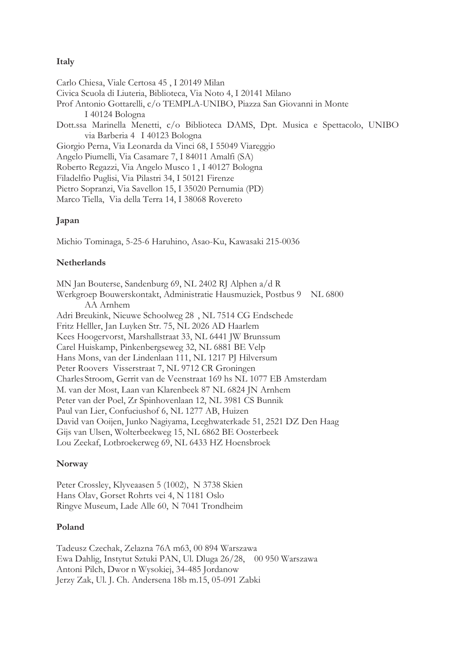# **Italy**

Carlo Chiesa, Viale Certosa 45 , I 20149 Milan Civica Scuola di Liuteria, Biblioteca, Via Noto 4, I 20141 Milano Prof Antonio Gottarelli, c/o TEMPLA-UNIBO, Piazza San Giovanni in Monte I 40124 Bologna Dott.ssa Marinella Menetti, c/o Biblioteca DAMS, Dpt. Musica e Spettacolo, UNIBO via Barberia 4 I 40123 Bologna Giorgio Perna, Via Leonarda da Vinci 68, I 55049 Viareggio Angelo Piumelli, Via Casamare 7, I 84011 Amalfi (SA) Roberto Regazzi, Via Angelo Musco 1 , I 40127 Bologna Filadelfio Puglisi, Via Pilastri 34, I 50121 Firenze Pietro Sopranzi, Via Savellon 15, I 35020 Pernumia (PD) Marco Tiella, Via della Terra 14, I 38068 Rovereto

# **Japan**

Michio Tominaga, 5-25-6 Haruhino, Asao-Ku, Kawasaki 215-0036

#### **Netherlands**

MN Jan Bouterse, Sandenburg 69, NL 2402 RJ Alphen a/d R Werkgroep Bouwerskontakt, Administratie Hausmuziek, Postbus 9 NL 6800 AA Arnhem Adri Breukink, Nieuwe Schoolweg 28 , NL 7514 CG Endschede Fritz Helller, Jan Luyken Str. 75, NL 2026 AD Haarlem Kees Hoogervorst, Marshallstraat 33, NL 6441 JW Brunssum Carel Huiskamp, Pinkenbergseweg 32, NL 6881 BE Velp Hans Mons, van der Lindenlaan 111, NL 1217 PJ Hilversum Peter Roovers Visserstraat 7, NL 9712 CR Groningen Charles Stroom, Gerrit van de Veenstraat 169 hs NL 1077 EB Amsterdam M. van der Most, Laan van Klarenbeek 87 NL 6824 JN Arnhem Peter van der Poel, Zr Spinhovenlaan 12, NL 3981 CS Bunnik Paul van Lier, Confuciushof 6, NL 1277 AB, Huizen David van Ooijen, Junko Nagiyama, Leeghwaterkade 51, 2521 DZ Den Haag Gijs van Ulsen, Wolterbeekweg 15, NL 6862 BE Oosterbeek Lou Zeekaf, Lotbroekerweg 69, NL 6433 HZ Hoensbroek

#### **Norway**

Peter Crossley, Klyveaasen 5 (1002), N 3738 Skien Hans Olav, Gorset Rohrts vei 4, N 1181 Oslo Ringve Museum, Lade Alle 60, N 7041 Trondheim

#### **Poland**

Tadeusz Czechak, Zelazna 76A m63, 00 894 Warszawa Ewa Dahlig, Instytut Sztuki PAN, Ul. Dluga 26/28, 00 950 Warszawa Antoni Pilch, Dwor n Wysokiej, 34-485 Jordanow Jerzy Zak, Ul. J. Ch. Andersena 18b m.15, 05-091 Zabki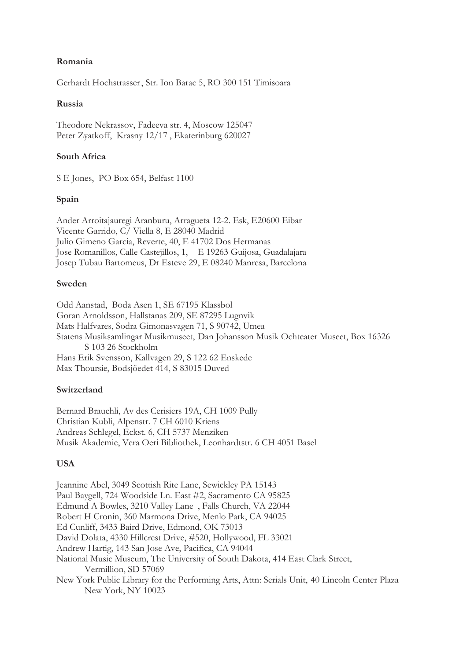# **Romania**

Gerhardt Hochstrasser , Str. Ion Barac 5, RO 300 151 Timisoara

# **Russia**

Theodore Nekrassov, Fadeeva str. 4, Moscow 125047 Peter Zyatkoff, Krasny 12/17 , Ekaterinburg 620027

# **South Africa**

S E Jones, PO Box 654, Belfast 1100

## **Spain**

Ander Arroitajauregi Aranburu, Arragueta 12-2. Esk, E20600 Eibar Vicente Garrido, C/ Viella 8, E 28040 Madrid Julio Gimeno Garcia, Reverte, 40, E 41702 Dos Hermanas Jose Romanillos, Calle Castejillos, 1, E 19263 Guijosa, Guadalajara Josep Tubau Bartomeus, Dr Esteve 29 , E 08240 Manresa, Barcelona

## **Sweden**

Odd Aanstad, Boda Asen 1, SE 67195 Klassbol Goran Arnoldsson, Hallstanas 209, SE 87295 Lugnvik Mats Halfvares, Sodra Gimonasvagen 71, S 90742, Umea Statens Musiksamlingar Musikmuseet, Dan Johansson Musik Ochteater Museet, Box 16326 S 103 26 Stockholm Hans Erik Svensson, Kallvagen 29, S 122 62 Enskede Max Thoursie, Bodsjöedet 414, S 83015 Duved

#### **Switzerland**

Bernard Brauchli, Av des Cerisiers 19A, CH 1009 Pully Christian Kubli, Alpenstr. 7 CH 6010 Kriens Andreas Schlegel, Eckst. 6, CH 5737 Menziken Musik Akademie, Vera Oeri Bibliothek, Leonhardtstr. 6 CH 4051 Basel

# **USA**

Jeannine Abel, 3049 Scottish Rite Lane, Sewickley PA 15143 Paul Baygell, 724 Woodside Ln. East #2, Sacramento CA 95825 Edmund A Bowles, 3210 Valley Lane , Falls Church, VA 22044 Robert H Cronin, 360 Marmona Drive, Menlo Park, CA 94025 Ed Cunliff, 3433 Baird Drive, Edmond, OK 73013 David Dolata, 4330 Hillcrest Drive, #520, Hollywood, FL 33021 Andrew Hartig, 143 San Jose Ave, Pacifica, CA 94044 National Music Museum, The University of South Dakota, 414 East Clark Street, Vermillion, SD 57069 New York Public Library for the Performing Arts, Attn: Serials Unit, 40 Lincoln Center Plaza New York, NY 10023